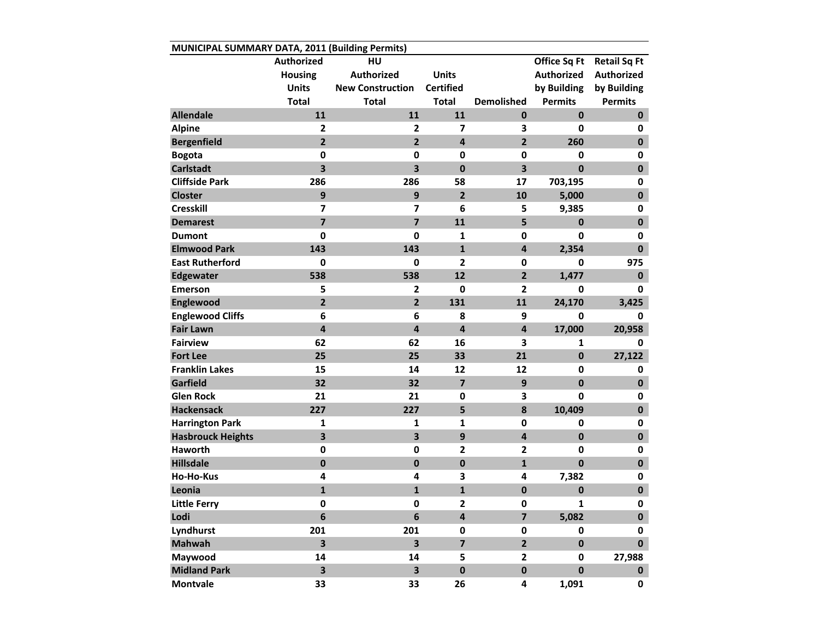| MUNICIPAL SUMMARY DATA, 2011 (Building Permits) |                         |                         |                         |                         |                   |                     |  |  |  |  |
|-------------------------------------------------|-------------------------|-------------------------|-------------------------|-------------------------|-------------------|---------------------|--|--|--|--|
|                                                 | Authorized              | HU                      |                         |                         | Office Sq Ft      | <b>Retail Sq Ft</b> |  |  |  |  |
|                                                 | <b>Housing</b>          | <b>Authorized</b>       | <b>Units</b>            |                         | <b>Authorized</b> | <b>Authorized</b>   |  |  |  |  |
|                                                 | <b>Units</b>            | <b>New Construction</b> | <b>Certified</b>        |                         | by Building       | by Building         |  |  |  |  |
|                                                 | <b>Total</b>            | <b>Total</b>            | <b>Total</b>            | <b>Demolished</b>       | <b>Permits</b>    | <b>Permits</b>      |  |  |  |  |
| <b>Allendale</b>                                | 11                      | 11                      | 11                      | $\bf{0}$                | $\mathbf 0$       | $\mathbf 0$         |  |  |  |  |
| <b>Alpine</b>                                   | $\overline{2}$          | $\overline{2}$          | 7                       | 3                       | 0                 | 0                   |  |  |  |  |
| <b>Bergenfield</b>                              | $\overline{2}$          | $\overline{2}$          | $\overline{\mathbf{4}}$ | $\overline{2}$          | 260               | $\mathbf 0$         |  |  |  |  |
| <b>Bogota</b>                                   | 0                       | $\mathbf 0$             | $\mathbf 0$             | 0                       | 0                 | 0                   |  |  |  |  |
| <b>Carlstadt</b>                                | $\overline{\mathbf{3}}$ | $\overline{\mathbf{3}}$ | $\mathbf 0$             | 3                       | $\mathbf{0}$      | $\mathbf 0$         |  |  |  |  |
| <b>Cliffside Park</b>                           | 286                     | 286                     | 58                      | 17                      | 703,195           | 0                   |  |  |  |  |
| <b>Closter</b>                                  | 9                       | 9                       | $\overline{2}$          | 10                      | 5,000             | $\mathbf 0$         |  |  |  |  |
| <b>Cresskill</b>                                | 7                       | $\overline{7}$          | 6                       | 5                       | 9,385             | 0                   |  |  |  |  |
| <b>Demarest</b>                                 | $\overline{\mathbf{z}}$ | $\overline{\mathbf{z}}$ | 11                      | 5                       | $\mathbf 0$       | $\mathbf 0$         |  |  |  |  |
| <b>Dumont</b>                                   | $\mathbf 0$             | $\mathbf 0$             | $\mathbf{1}$            | 0                       | 0                 | 0                   |  |  |  |  |
| <b>Elmwood Park</b>                             | 143                     | 143                     | $\mathbf{1}$            | $\overline{\mathbf{4}}$ | 2,354             | $\mathbf 0$         |  |  |  |  |
| <b>East Rutherford</b>                          | $\mathbf 0$             | $\mathbf 0$             | $\mathbf{2}$            | $\mathbf 0$             | $\mathbf{0}$      | 975                 |  |  |  |  |
| <b>Edgewater</b>                                | 538                     | 538                     | 12                      | $\overline{2}$          | 1,477             | $\mathbf 0$         |  |  |  |  |
| <b>Emerson</b>                                  | 5                       | $\mathbf{2}$            | $\mathbf 0$             | $\overline{\mathbf{c}}$ | 0                 | 0                   |  |  |  |  |
| Englewood                                       | $\overline{2}$          | $\overline{2}$          | 131                     | 11                      | 24,170            | 3,425               |  |  |  |  |
| <b>Englewood Cliffs</b>                         | 6                       | 6                       | 8                       | 9                       | $\mathbf 0$       | 0                   |  |  |  |  |
| <b>Fair Lawn</b>                                | $\overline{\mathbf{4}}$ | 4                       | $\overline{\mathbf{4}}$ | $\overline{\mathbf{4}}$ | 17,000            | 20,958              |  |  |  |  |
| <b>Fairview</b>                                 | 62                      | 62                      | 16                      | 3                       | 1                 | 0                   |  |  |  |  |
| <b>Fort Lee</b>                                 | 25                      | 25                      | 33                      | 21                      | $\pmb{0}$         | 27,122              |  |  |  |  |
| <b>Franklin Lakes</b>                           | 15                      | 14                      | 12                      | 12                      | 0                 | 0                   |  |  |  |  |
| Garfield                                        | 32                      | 32                      | $\overline{7}$          | 9                       | $\mathbf 0$       | $\mathbf 0$         |  |  |  |  |
| <b>Glen Rock</b>                                | 21                      | 21                      | $\mathbf 0$             | 3                       | $\mathbf 0$       | 0                   |  |  |  |  |
| <b>Hackensack</b>                               | 227                     | 227                     | 5                       | 8                       | 10,409            | $\mathbf 0$         |  |  |  |  |
| <b>Harrington Park</b>                          | 1                       | 1                       | $\mathbf{1}$            | $\mathbf 0$             | 0                 | 0                   |  |  |  |  |
| <b>Hasbrouck Heights</b>                        | 3                       | $\overline{\mathbf{3}}$ | 9                       | 4                       | $\bf{0}$          | $\pmb{0}$           |  |  |  |  |
| <b>Haworth</b>                                  | 0                       | $\mathbf 0$             | $\mathbf{2}$            | $\mathbf{2}$            | 0                 | 0                   |  |  |  |  |
| <b>Hillsdale</b>                                | $\mathbf 0$             | $\bf{0}$                | $\mathbf 0$             | $\mathbf{1}$            | $\mathbf 0$       | $\mathbf 0$         |  |  |  |  |
| <b>Ho-Ho-Kus</b>                                | 4                       | 4                       | 3                       | 4                       | 7,382             | 0                   |  |  |  |  |
| Leonia                                          | $\mathbf{1}$            | $\mathbf{1}$            | $\mathbf{1}$            | $\mathbf 0$             | $\mathbf 0$       | $\mathbf 0$         |  |  |  |  |
| <b>Little Ferry</b>                             | 0                       | 0                       | 2                       | $\pmb{0}$               | 1                 | 0                   |  |  |  |  |
| Lodi                                            | $\bf 6$                 | $\boldsymbol{6}$        | 4                       | $\overline{\mathbf{z}}$ | 5,082             | $\mathbf 0$         |  |  |  |  |
| Lyndhurst                                       | 201                     | 201                     | $\mathbf 0$             | 0                       | 0                 | 0                   |  |  |  |  |
| <b>Mahwah</b>                                   | $\overline{\mathbf{3}}$ | $\overline{\mathbf{3}}$ | $\overline{\mathbf{z}}$ | $\overline{2}$          | $\mathbf 0$       | $\mathbf{0}$        |  |  |  |  |
| Maywood                                         | 14                      | 14                      | 5                       | $\mathbf{2}$            | 0                 | 27,988              |  |  |  |  |
| <b>Midland Park</b>                             | 3                       | $\overline{\mathbf{3}}$ | $\mathbf 0$             | $\pmb{0}$               | $\pmb{0}$         | $\mathbf 0$         |  |  |  |  |
| <b>Montvale</b>                                 | 33                      | 33                      | 26                      | 4                       | 1,091             | 0                   |  |  |  |  |